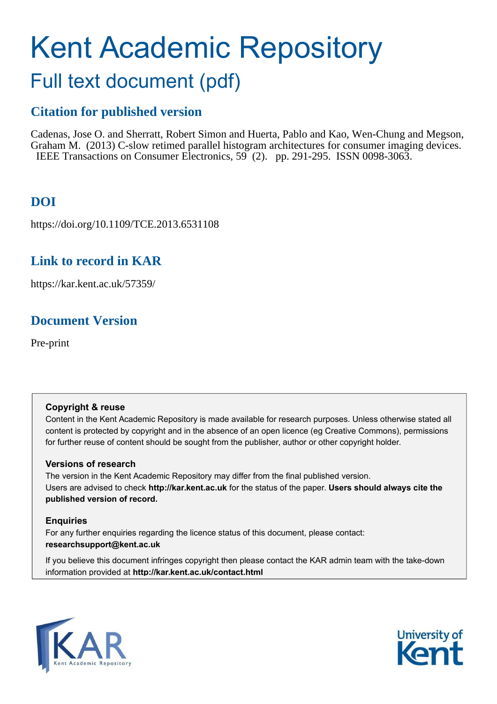# Kent Academic Repository Full text document (pdf)

## **Citation for published version**

Cadenas, Jose O. and Sherratt, Robert Simon and Huerta, Pablo and Kao, Wen-Chung and Megson, Graham M. (2013) C-slow retimed parallel histogram architectures for consumer imaging devices. IEEE Transactions on Consumer Electronics, 59 (2). pp. 291-295. ISSN 0098-3063.

## **DOI**

https://doi.org/10.1109/TCE.2013.6531108

## **Link to record in KAR**

https://kar.kent.ac.uk/57359/

## **Document Version**

Pre-print

### **Copyright & reuse**

Content in the Kent Academic Repository is made available for research purposes. Unless otherwise stated all content is protected by copyright and in the absence of an open licence (eg Creative Commons), permissions for further reuse of content should be sought from the publisher, author or other copyright holder.

### **Versions of research**

The version in the Kent Academic Repository may differ from the final published version. Users are advised to check **http://kar.kent.ac.uk** for the status of the paper. **Users should always cite the published version of record.**

### **Enquiries**

For any further enquiries regarding the licence status of this document, please contact: **researchsupport@kent.ac.uk**

If you believe this document infringes copyright then please contact the KAR admin team with the take-down information provided at **http://kar.kent.ac.uk/contact.html**



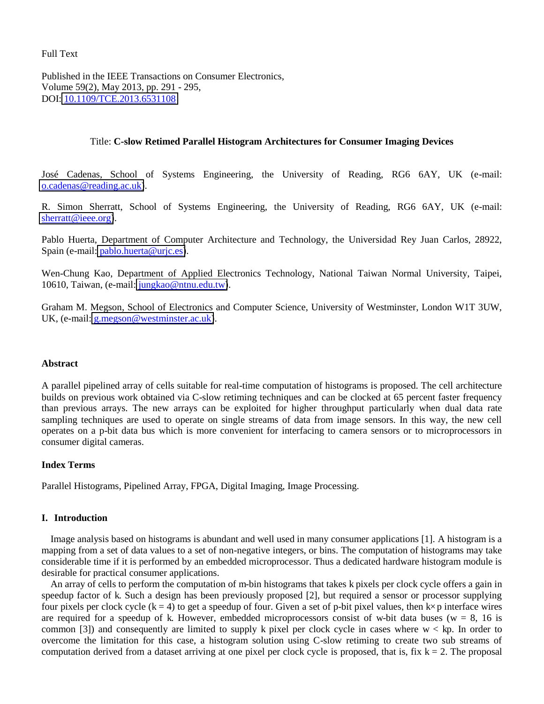Full Text

Published in the IEEE Transactions on Consumer Electronics, Volume 59(2), May 2013, pp. 291 - 295, DOI: [10.1109/TCE.2013.6531108](http://dx.doi.org/10.1109/TCE.2013.6531108) 

#### Title: **C-slow Retimed Parallel Histogram Architectures for Consumer Imaging Devices**

José Cadenas, School of Systems Engineering, the University of Reading, RG6 6AY, UK (e-mail: [o.cadenas@reading.ac.uk\)](mailto:o.cadenas@reading.ac.uk).

R. Simon Sherratt, School of Systems Engineering, the University of Reading, RG6 6AY, UK (e-mail: [sherratt@ieee.org\)](mailto:sherratt@ieee.org).

Pablo Huerta, Department of Computer Architecture and Technology, the Universidad Rey Juan Carlos, 28922, Spain (e-mail: pablo.huerta@uric.es).

Wen-Chung Kao, Department of Applied Electronics Technology, National Taiwan Normal University, Taipei, 10610, Taiwan, (e-mail: [jungkao@ntnu.edu.tw\)](mailto:jungkao@ntnu.edu.tw).

Graham M. Megson, School of Electronics and Computer Science, University of Westminster, London W1T 3UW, UK, (e-mail: [g.megson@westminster.ac.uk\)](mailto:g.megson@westminster.ac.uk).

#### **Abstract**

A parallel pipelined array of cells suitable for real-time computation of histograms is proposed. The cell architecture builds on previous work obtained via C-slow retiming techniques and can be clocked at 65 percent faster frequency than previous arrays. The new arrays can be exploited for higher throughput particularly when dual data rate sampling techniques are used to operate on single streams of data from image sensors. In this way, the new cell operates on a p-bit data bus which is more convenient for interfacing to camera sensors or to microprocessors in consumer digital cameras.

#### **Index Terms**

Parallel Histograms, Pipelined Array, FPGA, Digital Imaging, Image Processing.

#### **I. Introduction**

Image analysis based on histograms is abundant and well used in many consumer applications [1]. A histogram is a mapping from a set of data values to a set of non-negative integers, or bins. The computation of histograms may take considerable time if it is performed by an embedded microprocessor. Thus a dedicated hardware histogram module is desirable for practical consumer applications.

An array of cells to perform the computation of m-bin histograms that takes k pixels per clock cycle offers a gain in speedup factor of k. Such a design has been previously proposed [2], but required a sensor or processor supplying four pixels per clock cycle  $(k = 4)$  to get a speedup of four. Given a set of p-bit pixel values, then  $k \times p$  interface wires are required for a speedup of k. However, embedded microprocessors consist of w-bit data buses ( $w = 8$ , 16 is common [3]) and consequently are limited to supply k pixel per clock cycle in cases where w < kp. In order to overcome the limitation for this case, a histogram solution using C-slow retiming to create two sub streams of computation derived from a dataset arriving at one pixel per clock cycle is proposed, that is, fix  $k = 2$ . The proposal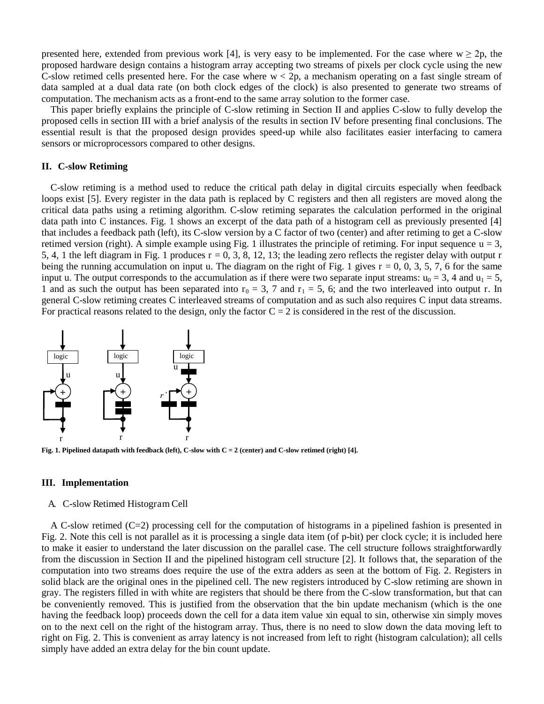presented here, extended from previous work [4], is very easy to be implemented. For the case where  $w \ge 2p$ , the proposed hardware design contains a histogram array accepting two streams of pixels per clock cycle using the new C-slow retimed cells presented here. For the case where  $w < 2p$ , a mechanism operating on a fast single stream of data sampled at a dual data rate (on both clock edges of the clock) is also presented to generate two streams of computation. The mechanism acts as a front-end to the same array solution to the former case.

This paper briefly explains the principle of C-slow retiming in Section II and applies C-slow to fully develop the proposed cells in section III with a brief analysis of the results in section IV before presenting final conclusions. The essential result is that the proposed design provides speed-up while also facilitates easier interfacing to camera sensors or microprocessors compared to other designs.

#### **II. C-slow Retiming**

C-slow retiming is a method used to reduce the critical path delay in digital circuits especially when feedback loops exist [5]. Every register in the data path is replaced by C registers and then all registers are moved along the critical data paths using a retiming algorithm. C-slow retiming separates the calculation performed in the original data path into C instances. Fig. 1 shows an excerpt of the data path of a histogram cell as previously presented [4] that includes a feedback path (left), its C-slow version by a C factor of two (center) and after retiming to get a C-slow retimed version (right). A simple example using Fig. 1 illustrates the principle of retiming. For input sequence  $u = 3$ , 5, 4, 1 the left diagram in Fig. 1 produces  $r = 0, 3, 8, 12, 13$ ; the leading zero reflects the register delay with output r being the running accumulation on input u. The diagram on the right of Fig. 1 gives  $r = 0, 0, 3, 5, 7, 6$  for the same input u. The output corresponds to the accumulation as if there were two separate input streams:  $u_0 = 3$ , 4 and  $u_1 = 5$ , 1 and as such the output has been separated into  $r_0 = 3$ , 7 and  $r_1 = 5$ , 6; and the two interleaved into output r. In general C-slow retiming creates C interleaved streams of computation and as such also requires C input data streams. For practical reasons related to the design, only the factor  $C = 2$  is considered in the rest of the discussion.



**Fig. 1. Pipelined datapath with feedback (left), C-slow with C = 2 (center) and C-slow retimed (right) [4].** 

#### **III. Implementation**

#### A. C-slow Retimed Histogram Cell

A C-slow retimed (C=2) processing cell for the computation of histograms in a pipelined fashion is presented in Fig. 2. Note this cell is not parallel as it is processing a single data item (of p-bit) per clock cycle; it is included here to make it easier to understand the later discussion on the parallel case. The cell structure follows straightforwardly from the discussion in Section II and the pipelined histogram cell structure [2]. It follows that, the separation of the computation into two streams does require the use of the extra adders as seen at the bottom of Fig. 2. Registers in solid black are the original ones in the pipelined cell. The new registers introduced by C-slow retiming are shown in gray. The registers filled in with white are registers that should be there from the C-slow transformation, but that can be conveniently removed. This is justified from the observation that the bin update mechanism (which is the one having the feedback loop) proceeds down the cell for a data item value xin equal to sin, otherwise xin simply moves on to the next cell on the right of the histogram array. Thus, there is no need to slow down the data moving left to right on Fig. 2. This is convenient as array latency is not increased from left to right (histogram calculation); all cells simply have added an extra delay for the bin count update.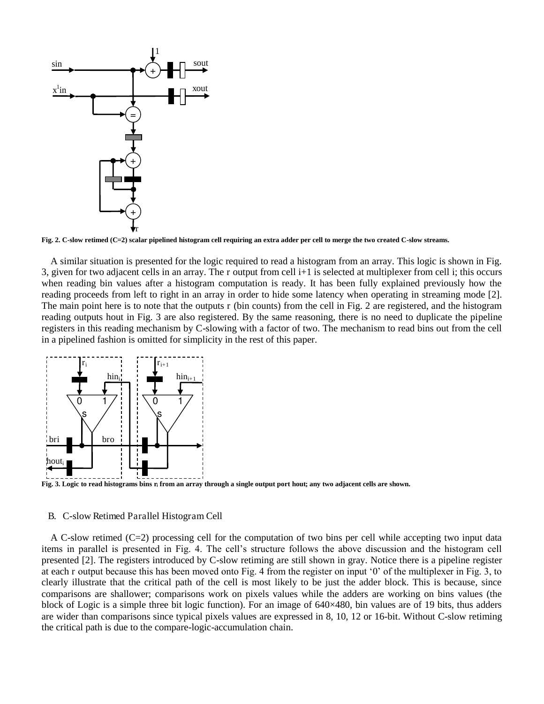

**Fig. 2. C-slow retimed (C=2) scalar pipelined histogram cell requiring an extra adder per cell to merge the two created C-slow streams.** 

A similar situation is presented for the logic required to read a histogram from an array. This logic is shown in Fig. 3, given for two adjacent cells in an array. The r output from cell i+1 is selected at multiplexer from cell i; this occurs when reading bin values after a histogram computation is ready. It has been fully explained previously how the reading proceeds from left to right in an array in order to hide some latency when operating in streaming mode [2]. The main point here is to note that the outputs r (bin counts) from the cell in Fig. 2 are registered, and the histogram reading outputs hout in Fig. 3 are also registered. By the same reasoning, there is no need to duplicate the pipeline registers in this reading mechanism by C-slowing with a factor of two. The mechanism to read bins out from the cell in a pipelined fashion is omitted for simplicity in the rest of this paper.



**Fig. 3. Logic to read histograms bins ri from an array through a single output port hout; any two adjacent cells are shown.** 

#### B. C-slow Retimed Parallel Histogram Cell

A C-slow retimed (C=2) processing cell for the computation of two bins per cell while accepting two input data items in parallel is presented in Fig. 4. The cell"s structure follows the above discussion and the histogram cell presented [2]. The registers introduced by C-slow retiming are still shown in gray. Notice there is a pipeline register at each r output because this has been moved onto Fig. 4 from the register on input "0" of the multiplexer in Fig. 3, to clearly illustrate that the critical path of the cell is most likely to be just the adder block. This is because, since comparisons are shallower; comparisons work on pixels values while the adders are working on bins values (the block of Logic is a simple three bit logic function). For an image of 640×480, bin values are of 19 bits, thus adders are wider than comparisons since typical pixels values are expressed in 8, 10, 12 or 16-bit. Without C-slow retiming the critical path is due to the compare-logic-accumulation chain.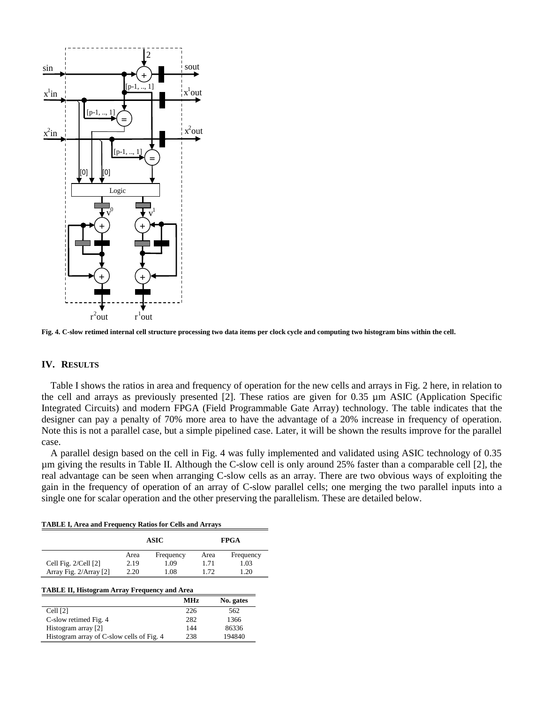

**Fig. 4. C-slow retimed internal cell structure processing two data items per clock cycle and computing two histogram bins within the cell.** 

#### **IV. RESULTS**

Table I shows the ratios in area and frequency of operation for the new cells and arrays in Fig. 2 here, in relation to the cell and arrays as previously presented [2]. These ratios are given for 0.35 µm ASIC (Application Specific Integrated Circuits) and modern FPGA (Field Programmable Gate Array) technology. The table indicates that the designer can pay a penalty of 70% more area to have the advantage of a 20% increase in frequency of operation. Note this is not a parallel case, but a simple pipelined case. Later, it will be shown the results improve for the parallel case.

A parallel design based on the cell in Fig. 4 was fully implemented and validated using ASIC technology of 0.35 µm giving the results in Table II. Although the C-slow cell is only around 25% faster than a comparable cell [2], the real advantage can be seen when arranging C-slow cells as an array. There are two obvious ways of exploiting the gain in the frequency of operation of an array of C-slow parallel cells; one merging the two parallel inputs into a single one for scalar operation and the other preserving the parallelism. These are detailed below.

|                                                                              | ASIC |            | <b>FPGA</b> |           |
|------------------------------------------------------------------------------|------|------------|-------------|-----------|
|                                                                              | Area | Frequency  | Area        | Frequency |
| Cell Fig. 2/Cell [2]                                                         | 2.19 | 1.09       | 1.71        | 1.03      |
| Array Fig. 2/Array [2]                                                       | 2.20 | 1.08       | 1.72        | 1.20      |
|                                                                              |      |            |             |           |
|                                                                              |      |            |             |           |
|                                                                              |      | <b>MHz</b> |             | No. gates |
| Cell $[2]$                                                                   |      | 226        |             | 562       |
| <b>TABLE II, Histogram Array Frequency and Area</b><br>C-slow retimed Fig. 4 |      | 282        |             | 1366      |
| Histogram array [2]                                                          |      | 144        |             | 86336     |

**TABLE I, Area and Frequency Ratios for Cells and Arrays**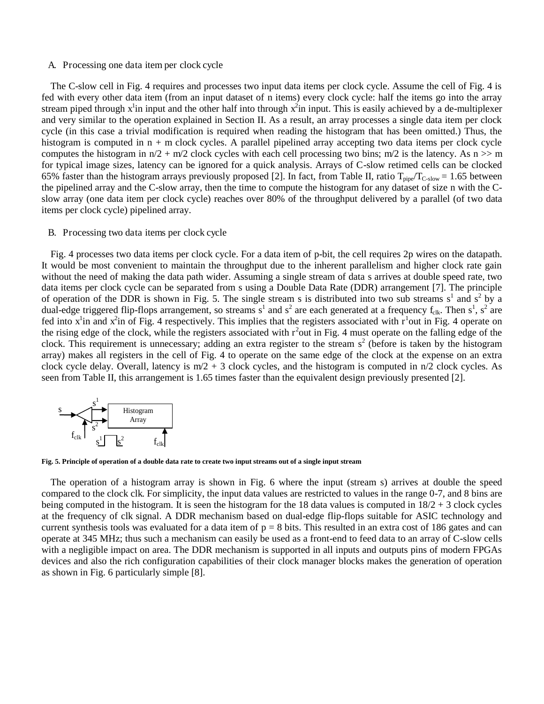#### A. Processing one data item per clock cycle

The C-slow cell in Fig. 4 requires and processes two input data items per clock cycle. Assume the cell of Fig. 4 is fed with every other data item (from an input dataset of n items) every clock cycle: half the items go into the array stream piped through  $x^1$ in input and the other half into through  $x^2$ in input. This is easily achieved by a de-multiplexer and very similar to the operation explained in Section II. As a result, an array processes a single data item per clock cycle (in this case a trivial modification is required when reading the histogram that has been omitted.) Thus, the histogram is computed in  $n + m$  clock cycles. A parallel pipelined array accepting two data items per clock cycle computes the histogram in  $n/2 + m/2$  clock cycles with each cell processing two bins;  $m/2$  is the latency. As  $n \gg m$ for typical image sizes, latency can be ignored for a quick analysis. Arrays of C-slow retimed cells can be clocked 65% faster than the histogram arrays previously proposed [2]. In fact, from Table II, ratio  $T_{\text{pipe}}/T_{\text{C-slow}} = 1.65$  between the pipelined array and the C-slow array, then the time to compute the histogram for any dataset of size n with the Cslow array (one data item per clock cycle) reaches over 80% of the throughput delivered by a parallel (of two data items per clock cycle) pipelined array.

#### B. Processing two data items per clock cycle

Fig. 4 processes two data items per clock cycle. For a data item of p-bit, the cell requires 2p wires on the datapath. It would be most convenient to maintain the throughput due to the inherent parallelism and higher clock rate gain without the need of making the data path wider. Assuming a single stream of data s arrives at double speed rate, two data items per clock cycle can be separated from s using a Double Data Rate (DDR) arrangement [7]. The principle of operation of the DDR is shown in Fig. 5. The single stream s is distributed into two sub streams  $s^1$  and  $s^2$  by a dual-edge triggered flip-flops arrangement, so streams  $s^1$  and  $s^2$  are each generated at a frequency  $f_{clk}$ . Then  $s^1$ ,  $s^2$  are fed into  $x^1$ in and  $x^2$ in of Fig. 4 respectively. This implies that the registers associated with  $r^1$ out in Fig. 4 operate on the rising edge of the clock, while the registers associated with  $r^2$  out in Fig. 4 must operate on the falling edge of the clock. This requirement is unnecessary; adding an extra register to the stream  $s<sup>2</sup>$  (before is taken by the histogram array) makes all registers in the cell of Fig. 4 to operate on the same edge of the clock at the expense on an extra clock cycle delay. Overall, latency is  $m/2 + 3$  clock cycles, and the histogram is computed in  $n/2$  clock cycles. As seen from Table II, this arrangement is 1.65 times faster than the equivalent design previously presented [2].



**Fig. 5. Principle of operation of a double data rate to create two input streams out of a single input stream**

The operation of a histogram array is shown in Fig. 6 where the input (stream s) arrives at double the speed compared to the clock clk. For simplicity, the input data values are restricted to values in the range 0-7, and 8 bins are being computed in the histogram. It is seen the histogram for the 18 data values is computed in  $18/2 + 3$  clock cycles at the frequency of clk signal. A DDR mechanism based on dual-edge flip-flops suitable for ASIC technology and current synthesis tools was evaluated for a data item of  $p = 8$  bits. This resulted in an extra cost of 186 gates and can operate at 345 MHz; thus such a mechanism can easily be used as a front-end to feed data to an array of C-slow cells with a negligible impact on area. The DDR mechanism is supported in all inputs and outputs pins of modern FPGAs devices and also the rich configuration capabilities of their clock manager blocks makes the generation of operation as shown in Fig. 6 particularly simple [8].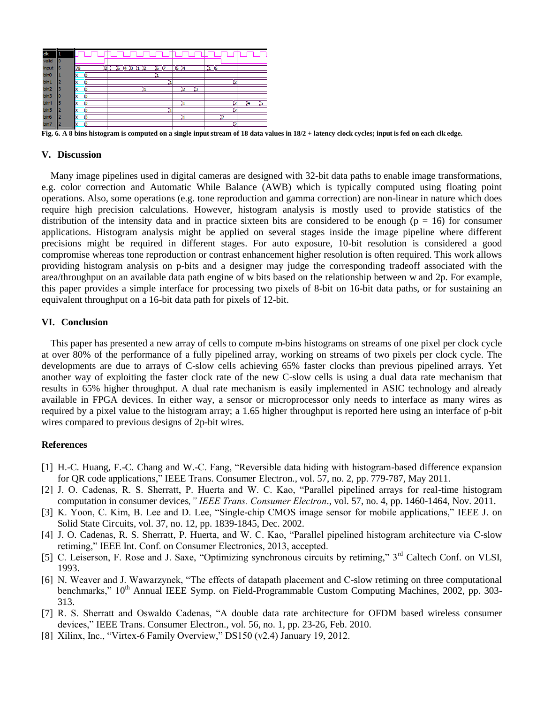

**Fig. 6. A 8 bins histogram is computed on a single input stream of 18 data values in 18/2 + latency clock cycles; input is fed on each clk edge.** 

#### **V. Discussion**

Many image pipelines used in digital cameras are designed with 32-bit data paths to enable image transformations, e.g. color correction and Automatic While Balance (AWB) which is typically computed using floating point operations. Also, some operations (e.g. tone reproduction and gamma correction) are non-linear in nature which does require high precision calculations. However, histogram analysis is mostly used to provide statistics of the distribution of the intensity data and in practice sixteen bits are considered to be enough ( $p = 16$ ) for consumer applications. Histogram analysis might be applied on several stages inside the image pipeline where different precisions might be required in different stages. For auto exposure, 10-bit resolution is considered a good compromise whereas tone reproduction or contrast enhancement higher resolution is often required. This work allows providing histogram analysis on p-bits and a designer may judge the corresponding tradeoff associated with the area/throughput on an available data path engine of w bits based on the relationship between w and 2p. For example, this paper provides a simple interface for processing two pixels of 8-bit on 16-bit data paths, or for sustaining an equivalent throughput on a 16-bit data path for pixels of 12-bit.

#### **VI. Conclusion**

This paper has presented a new array of cells to compute m-bins histograms on streams of one pixel per clock cycle at over 80% of the performance of a fully pipelined array, working on streams of two pixels per clock cycle. The developments are due to arrays of C-slow cells achieving 65% faster clocks than previous pipelined arrays. Yet another way of exploiting the faster clock rate of the new C-slow cells is using a dual data rate mechanism that results in 65% higher throughput. A dual rate mechanism is easily implemented in ASIC technology and already available in FPGA devices. In either way, a sensor or microprocessor only needs to interface as many wires as required by a pixel value to the histogram array; a 1.65 higher throughput is reported here using an interface of p-bit wires compared to previous designs of 2p-bit wires.

#### **References**

- [1] H.-C. Huang, F.-C. Chang and W.-C. Fang, "Reversible data hiding with histogram-based difference expansion for QR code applications," IEEE Trans. Consumer Electron., vol. 57, no. 2, pp. 779-787, May 2011.
- [2] J. O. Cadenas, R. S. Sherratt, P. Huerta and W. C. Kao, "Parallel pipelined arrays for real-time histogram computation in consumer devices*," IEEE Trans. Consumer Electron*., vol. 57, no. 4, pp. 1460-1464, Nov. 2011.
- [3] K. Yoon, C. Kim, B. Lee and D. Lee, "Single-chip CMOS image sensor for mobile applications," IEEE J. on Solid State Circuits, vol. 37, no. 12, pp. 1839-1845, Dec. 2002.
- [4] J. O. Cadenas, R. S. Sherratt, P. Huerta, and W. C. Kao, "Parallel pipelined histogram architecture via C-slow retiming," IEEE Int. Conf. on Consumer Electronics, 2013, accepted.
- [5] C. Leiserson, F. Rose and J. Saxe, "Optimizing synchronous circuits by retiming," 3<sup>rd</sup> Caltech Conf. on VLSI, 1993.
- [6] N. Weaver and J. Wawarzynek, "The effects of datapath placement and C-slow retiming on three computational benchmarks," 10<sup>th</sup> Annual IEEE Symp. on Field-Programmable Custom Computing Machines, 2002, pp. 303-313.
- [7] R. S. Sherratt and Oswaldo Cadenas, "A double data rate architecture for OFDM based wireless consumer devices," IEEE Trans. Consumer Electron., vol. 56, no. 1, pp. 23-26, Feb. 2010.
- [8] Xilinx, Inc., "Virtex-6 Family Overview," DS150 (v2.4) January 19, 2012.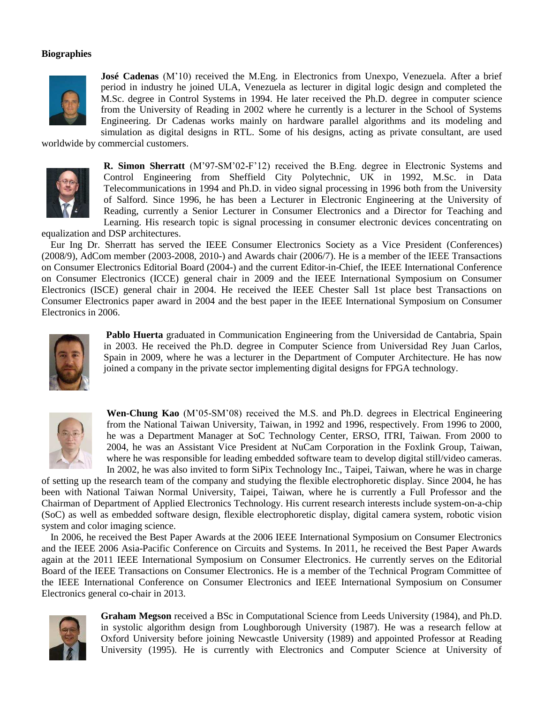#### **Biographies**



**José Cadenas** (M'10) received the M.Eng. in Electronics from Unexpo, Venezuela. After a brief period in industry he joined ULA, Venezuela as lecturer in digital logic design and completed the M.Sc. degree in Control Systems in 1994. He later received the Ph.D. degree in computer science from the University of Reading in 2002 where he currently is a lecturer in the School of Systems Engineering. Dr Cadenas works mainly on hardware parallel algorithms and its modeling and simulation as digital designs in RTL. Some of his designs, acting as private consultant, are used

worldwide by commercial customers.



**R. Simon Sherratt** (M"97-SM"02-F"12) received the B.Eng. degree in Electronic Systems and Control Engineering from Sheffield City Polytechnic, UK in 1992, M.Sc. in Data Telecommunications in 1994 and Ph.D. in video signal processing in 1996 both from the University of Salford. Since 1996, he has been a Lecturer in Electronic Engineering at the University of Reading, currently a Senior Lecturer in Consumer Electronics and a Director for Teaching and Learning. His research topic is signal processing in consumer electronic devices concentrating on

equalization and DSP architectures.

Eur Ing Dr. Sherratt has served the IEEE Consumer Electronics Society as a Vice President (Conferences) (2008/9), AdCom member (2003-2008, 2010-) and Awards chair (2006/7). He is a member of the IEEE Transactions on Consumer Electronics Editorial Board (2004-) and the current Editor-in-Chief, the IEEE International Conference on Consumer Electronics (ICCE) general chair in 2009 and the IEEE International Symposium on Consumer Electronics (ISCE) general chair in 2004. He received the IEEE Chester Sall 1st place best Transactions on Consumer Electronics paper award in 2004 and the best paper in the IEEE International Symposium on Consumer Electronics in 2006.



 **Pablo Huerta** graduated in Communication Engineering from the Universidad de Cantabria, Spain in 2003. He received the Ph.D. degree in Computer Science from Universidad Rey Juan Carlos, Spain in 2009, where he was a lecturer in the Department of Computer Architecture. He has now joined a company in the private sector implementing digital designs for FPGA technology.



**Wen-Chung Kao** (M"05-SM"08) received the M.S. and Ph.D. degrees in Electrical Engineering from the National Taiwan University, Taiwan, in 1992 and 1996, respectively. From 1996 to 2000, he was a Department Manager at SoC Technology Center, ERSO, ITRI, Taiwan. From 2000 to 2004, he was an Assistant Vice President at NuCam Corporation in the Foxlink Group, Taiwan, where he was responsible for leading embedded software team to develop digital still/video cameras. In 2002, he was also invited to form SiPix Technology Inc., Taipei, Taiwan, where he was in charge

of setting up the research team of the company and studying the flexible electrophoretic display. Since 2004, he has been with National Taiwan Normal University, Taipei, Taiwan, where he is currently a Full Professor and the Chairman of Department of Applied Electronics Technology. His current research interests include system-on-a-chip (SoC) as well as embedded software design, flexible electrophoretic display, digital camera system, robotic vision system and color imaging science.

In 2006, he received the Best Paper Awards at the 2006 IEEE International Symposium on Consumer Electronics and the IEEE 2006 Asia-Pacific Conference on Circuits and Systems. In 2011, he received the Best Paper Awards again at the 2011 IEEE International Symposium on Consumer Electronics. He currently serves on the Editorial Board of the IEEE Transactions on Consumer Electronics. He is a member of the Technical Program Committee of the IEEE International Conference on Consumer Electronics and IEEE International Symposium on Consumer Electronics general co-chair in 2013.



**Graham Megson** received a BSc in Computational Science from Leeds University (1984), and Ph.D. in systolic algorithm design from Loughborough University (1987). He was a research fellow at Oxford University before joining Newcastle University (1989) and appointed Professor at Reading University (1995). He is currently with Electronics and Computer Science at University of